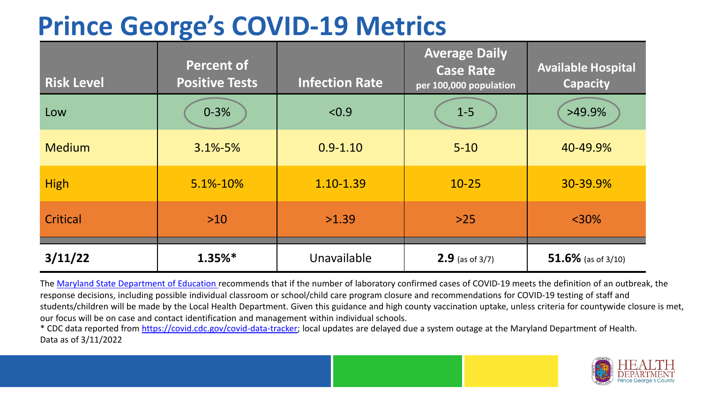# **Prince George's COVID-19 Metrics**

| <b>Risk Level</b> | <b>Percent of</b><br><b>Positive Tests</b> | <b>Infection Rate</b> | <b>Average Daily</b><br><b>Case Rate</b><br>per 100,000 population | <b>Available Hospital</b><br><b>Capacity</b> |
|-------------------|--------------------------------------------|-----------------------|--------------------------------------------------------------------|----------------------------------------------|
| Low               | $0 - 3%$                                   | < 0.9                 | $1-5$                                                              | $>49.9\%$                                    |
| <b>Medium</b>     | $3.1\% - 5\%$                              | $0.9 - 1.10$          | $5 - 10$                                                           | 40-49.9%                                     |
| <b>High</b>       | 5.1%-10%                                   | 1.10-1.39             | $10 - 25$                                                          | 30-39.9%                                     |
| Critical          | $>10$                                      | >1.39                 | $>25$                                                              | $< 30\%$                                     |
| 3/11/22           | $1.35%$ *                                  | Unavailable           | <b>2.9</b> (as of $3/7$ )                                          | 51.6% (as of $3/10$ )                        |

The [Maryland State Department of Education](https://earlychildhood.marylandpublicschools.org/system/files/filedepot/3/covid_guidance_full_080420.pdf) recommends that if the number of laboratory confirmed cases of COVID-19 meets the definition of an outbreak, the response decisions, including possible individual classroom or school/child care program closure and recommendations for COVID-19 testing of staff and students/children will be made by the Local Health Department. Given this guidance and high county vaccination uptake, unless criteria for countywide closure is met, our focus will be on case and contact identification and management within individual schools.

\* CDC data reported from <https://covid.cdc.gov/covid-data-tracker>; local updates are delayed due a system outage at the Maryland Department of Health. Data as of 3/11/2022

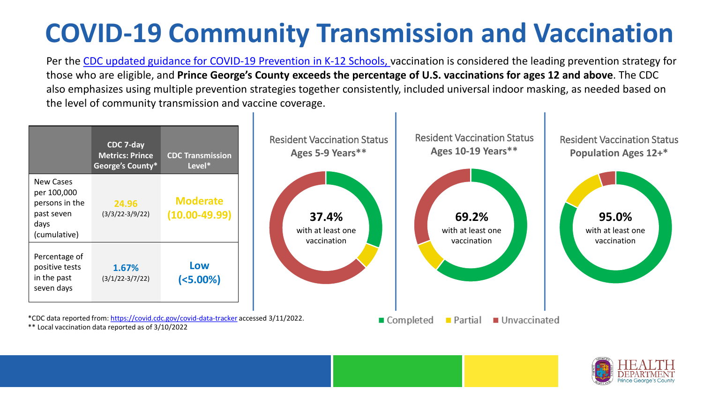# **COVID-19 Community Transmission and Vaccination**

Per the [CDC updated guidance for COVID-19 Prevention in K-12 Schools,](https://www.cdc.gov/coronavirus/2019-ncov/community/schools-childcare/k-12-guidance.html) vaccination is considered the leading prevention strategy for those who are eligible, and **Prince George's County exceeds the percentage of U.S. vaccinations for ages 12 and above**. The CDC also emphasizes using multiple prevention strategies together consistently, included universal indoor masking, as needed based on the level of community transmission and vaccine coverage.



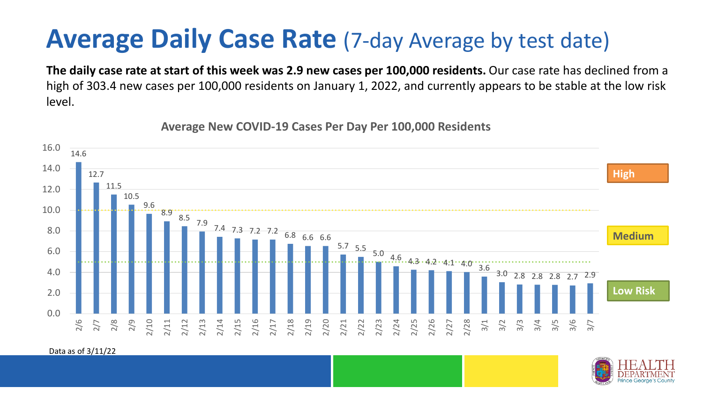### **Average Daily Case Rate** (7-day Average by test date)

**The daily case rate at start of this week was 2.9 new cases per 100,000 residents.** Our case rate has declined from a high of 303.4 new cases per 100,000 residents on January 1, 2022, and currently appears to be stable at the low risk level.

14.6 12.7 11.5 10.5 9.6 8.9 8.5 7.9 7.4 7.3 7.2 7.2 6.8 6.6 6.6  $5.7$  5.5 5.0 4.6 4.3 4.2 4.1 4.0 3.6 3.0 2.8 2.8 2.8 2.7 2.9 0.0 2.0 4.0 6.0 8.0 10.0 12.0 14.0 16.0 2/6 2/7 2/8 2/9 2/10 2/11 2/12 2/13 2/14 2/15 2/16 2/17 2/18 2/19 2/20 2/21 2/22 2/23 2/24 2/25 2/26 2/27 2/28 3/1 3/2 3/3 3/4 3/5 3/6 3/7 **Low Risk Medium High**

**Average New COVID-19 Cases Per Day Per 100,000 Residents**

Data as of 3/11/22